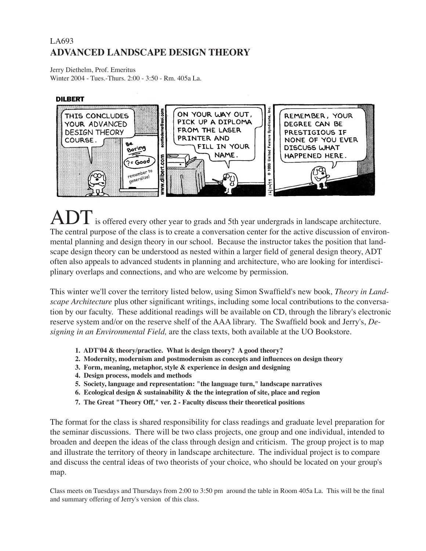## LA693 **ADVANCED LANDSCAPE DESIGN THEORY**

Jerry Diethelm, Prof. Emeritus Winter 2004 - Tues.-Thurs. 2:00 - 3:50 - Rm. 405a La.

#### **DILBERT**



ADT is offered every other year to grads and 5th year undergrads in landscape architecture. The central purpose of the class is to create a conversation center for the active discussion of environmental planning and design theory in our school. Because the instructor takes the position that landscape design theory can be understood as nested within a larger field of general design theory, ADT often also appeals to advanced students in planning and architecture, who are looking for interdisciplinary overlaps and connections, and who are welcome by permission.

This winter we'll cover the territory listed below, using Simon Swaffield's new book, *Theory in Landscape Architecture* plus other significant writings, including some local contributions to the conversation by our faculty. These additional readings will be available on CD, through the library's electronic reserve system and/or on the reserve shelf of the AAA library. The Swaffield book and Jerry's, *Designing in an Environmental Field,* are the class texts, both available at the UO Bookstore.

- **1. ADT'04 & theory/practice. What is design theory? A good theory?**
- **2. Modernity, modernism and postmodernism as concepts and influences on design theory**
- **3. Form, meaning, metaphor, style & experience in design and designing**
- **4. Design process, models and methods**
- **5. Society, language and representation: "the language turn," landscape narratives**
- **6. Ecological design & sustainability & the the integration of site, place and region**
- **7. The Great "Theory Off," ver. 2 Faculty discuss their theoretical positions**

The format for the class is shared responsibility for class readings and graduate level preparation for the seminar discussions. There will be two class projects, one group and one individual, intended to broaden and deepen the ideas of the class through design and criticism. The group project is to map and illustrate the territory of theory in landscape architecture. The individual project is to compare and discuss the central ideas of two theorists of your choice, who should be located on your group's map.

Class meets on Tuesdays and Thursdays from 2:00 to 3:50 pm around the table in Room 405a La. This will be the final and summary offering of Jerry's version of this class.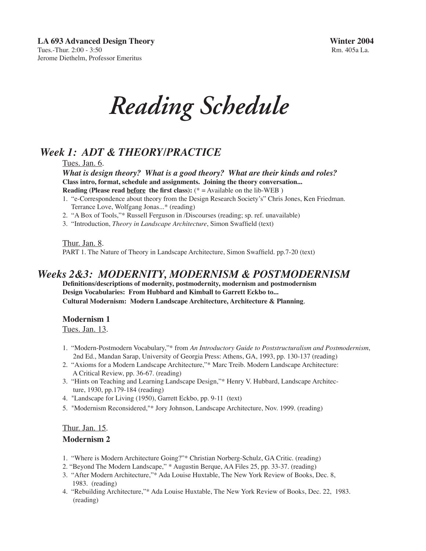*Reading Schedule*

## *Week 1: ADT & THEORY/PRACTICE*

Tues. Jan. 6.

*What is design theory? What is a good theory? What are their kinds and roles?* **Class intro, format, schedule and assignments. Joining the theory conversation... Reading (Please read before the first class):**  $(* =$  Available on the lib-WEB)

- 1. "e-Correspondence about theory from the Design Research Society's" Chris Jones, Ken Friedman. Terrance Love, Wolfgang Jonas...\* (reading)
- 2. "A Box of Tools,"\* Russell Ferguson in /Discourses (reading; sp. ref. unavailable)
- 3. "Introduction, *Theory in Landscape Architecture*, Simon Swaffield (text)

<u>Thur. Jan. 8</u>.

PART 1. The Nature of Theory in Landscape Architecture, Simon Swaffield. pp.7-20 (text)

## *Weeks 2&3: MODERNITY, MODERNISM & POSTMODERNISM*

**Definitions/descriptions of modernity, postmodernity, modernism and postmodernism Design Vocabularies: From Hubbard and Kimball to Garrett Eckbo to... vocabu Cultural Modernism: Modern Landscape Architecture, Architecture & Planning***.*

### **Modernism 1**

Tues. Jan. 13.

- 1. "Modern-Postmodern Vocabulary,"\* from *An Introductory Guide to Poststructuralism and Postmodernism*, 2nd Ed., Mandan Sarap, University of Georgia Press: Athens, GA, 1993, pp. 130-137 (reading)
- 2. "Axioms for a Modern Landscape Architecture,"\* Marc Treib. Modern Landscape Architecture: A Critical Review, pp. 36-67. (reading)
- 3. "Hints on Teaching and Learning Landscape Design,"\* Henry V. Hubbard, Landscape Architec ture, 1930, pp.179-184 (reading)
- 4. "Landscape for Living (1950), Garrett Eckbo, pp. 9-11 (text)
- 5. "Modernism Reconsidered,"\* Jory Johnson, Landscape Architecture, Nov. 1999. (reading)

#### Thur. Jan. 15.

### **Modernism 2**

- 1. "Where is Modern Architecture Going?"\* Christian Norberg-Schulz, GA Critic. (reading)
- 2. "Beyond The Modern Landscape," \* Augustin Berque, AA Files 25, pp. 33-37. (reading)
- 3. "After Modern Architecture,"\* Ada Louise Huxtable, The New York Review of Books, Dec. 8, 1983. (reading)
- 4. "Rebuilding Architecture,"\* Ada Louise Huxtable, The New York Review of Books, Dec. 22, 1983. (reading)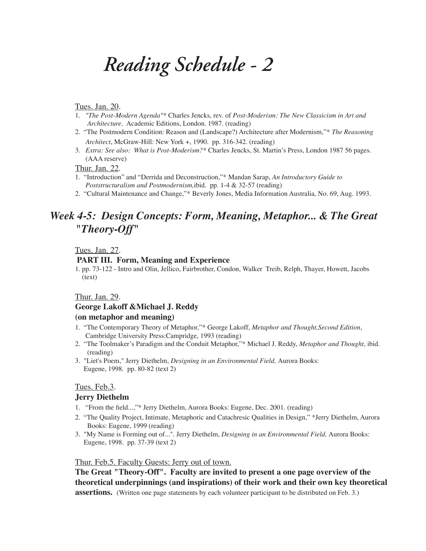## *Reading Schedule - 2*

#### Tues. Jan. 20.

- 1. *"The Post-Modern Agenda"\** Charles Jencks, rev. of *Post-Moderism: The New Classicism in Art and Architecture.* Academic Editions, London. 1987. (reading)
- 2. "The Postmodern Condition: Reason and (Landscape?) Architecture after Modernism,"\* *The Reasoning Architect*, McGraw-Hill: New York +, 1990. pp. 316-342. (reading)
- 3. *Extra: See also: What is Post-Moderism?\** Charles Jencks, St. Martin's Press, London 1987 56 pages. (AAA reserve)

Thur. Jan. 22.

- 1. "Introduction" and "Derrida and Deconstruction,"\* Mandan Sarap, *An Introductory Guide to Poststructuralism and Postmodernism,*ibid. pp. 1-4 & 32-57 (reading)
- 2. "Cultural Maintenance and Change,"\* Beverly Jones, Media Information Australia, No. 69, Aug. 1993.

## *Week 4-5: Design Concepts: Form, Meaning, Metaphor... & The Great "Theory-Off"*

Tues. Jan. 27.

#### **PART III. Form, Meaning and Experience**

1. pp. 73-122 - Intro and Olin, Jellico, Fairbrother, Condon, Walker Treib, Relph, Thayer, Howett, Jacobs (text)

#### Thur. Jan. 29.

#### **George Lakoff &Michael J. Reddy**

### **(on metaphor and meaning)**

- 1. "The Contemporary Theory of Metaphor,"\* George Lakoff, *Metaphor and Thought,Second Edition*, Cambridge University Press:Campridge, 1993 (reading)
- 2. "The Toolmaker's Paradigm and the Conduit Metaphor,"\* Michael J. Reddy, *Metaphor and Thought*, ibid. (reading)
- 3. "Liet's Poem," Jerry Diethelm, *Designing in an Environmental Field,* Aurora Books: Eugene, 1998. pp. 80-82 (text 2)

#### Tues. Feb.3.

#### **Jerry Diethelm**

- 1. "From the field...,"\* Jerry Diethelm, Aurora Books: Eugene, Dec. 2001. (reading)
- 2. "The Quality Project, Intimate, Metaphoric and Catachresic Qualities in Design," \*Jerry Diethelm, Aurora Books: Eugene, 1999 (reading)
- 3. "My Name is Forming out of...". Jerry Diethelm, *Designing in an Environmental Field,* Aurora Books: Eugene, 1998. pp. 37-39 (text 2)

#### Thur. Feb.5. Faculty Guests: Jerry out of town.

**The Great "Theory-Off". Faculty are invited to present a one page overview of the theoretical underpinnings (and inspirations) of their work and their own key theoretical assertions.** (Written one page statements by each volunteer participant to be distributed on Feb. 3.)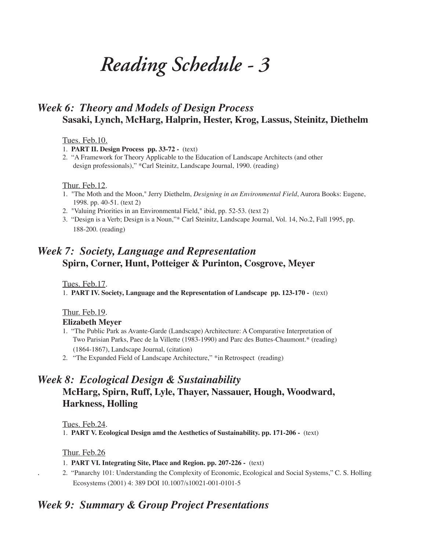## *Reading Schedule - 3*

## *Week 6: Theory and Models of Design Process* **Sasaki, Lynch, McHarg, Halprin, Hester, Krog, Lassus, Steinitz, Diethelm**

#### Tues. Feb.10.

1. **PART II. Design Process pp. 33-72 -** (text)

2. "A Framework for Theory Applicable to the Education of Landscape Architects (and other design professionals)," \*Carl Steinitz, Landscape Journal, 1990. (reading)

#### Thur. Feb.12.

- 1. "The Moth and the Moon," Jerry Diethelm, *Designing in an Environmental Field*, Aurora Books: Eugene, 1998. pp. 40-51. (text 2)
- 2. "Valuing Priorities in an Environmental Field," ibid, pp. 52-53. (text 2)
- 3. "Design is a Verb; Design is a Noun,"\* Carl Steinitz, Landscape Journal, Vol. 14, No.2, Fall 1995, pp. 188-200. (reading)

## *Week 7: Society, Language and Representation* **Spirn, Corner, Hunt, Potteiger & Purinton, Cosgrove, Meyer**

Tues. Feb.17.

1. **PART IV. Society, Language and the Representation of Landscape pp. 123-170 -** (text)

## Thur. Feb.19.

## **Elizabeth Meyer**

- 1. "The Public Park as Avante-Garde (Landscape) Architecture: A Comparative Interpretation of Two Parisian Parks, Paec de la Villette (1983-1990) and Parc des Buttes-Chaumont.\* (reading) (1864-1867), Landscape Journal, (citation)
- 2. "The Expanded Field of Landscape Architecture," \*in Retrospect (reading)

## *Week 8: Ecological Design & Sustainability* **McHarg, Spirn, Ruff, Lyle, Thayer, Nassauer, Hough, Woodward, Harkness, Holling**

Tues. Feb.24.

1. **PART V. Ecological Design amd the Aesthetics of Sustainability. pp. 171-206 -** (text)

### Thur. Feb.26

#### 1. **PART VI. Integrating Site, Place and Region. pp. 207-226 -** (text)

. 2. "Panarchy 101: Understanding the Complexity of Economic, Ecological and Social Systems," C. S. Holling Ecosystems (2001) 4: 389 DOI 10.1007/s10021-001-0101-5

## *Week 9: Summary & Group Project Presentations*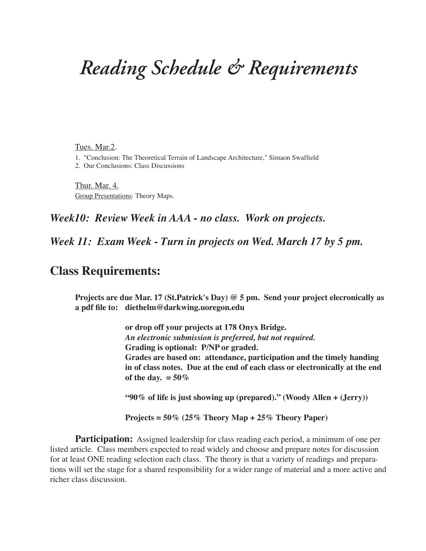## *Reading Schedule & Requirements*

Tues. Mar.2.

1. "Conclusion: The Theoretical Terrain of Landscape Architecture," Simaon Swaffield

2. Our Conclusions: Class Discussions

Thur. Mar. 4. Group Presentations: Theory Maps.

## *Week10: Review Week in AAA - no class. Work on projects.*

*Week 11: Exam Week - Turn in projects on Wed. March 17 by 5 pm.*

## **Class Requirements:**

**Projects are due Mar. 17 (St.Patrick's Day) @ 5 pm. Send your project elecronically as a pdf file to: diethelm@darkwing.uoregon.edu** 

> **or drop off your projects at 178 Onyx Bridge.**  *An electronic submission is preferred, but not required.*  **Grading is optional: P/NP or graded. Grades are based on: attendance, participation and the timely handing in of class notes. Due at the end of each class or electronically at the end**  of the day.  $= 50\%$

 **"90% of life is just showing up (prepared)." (Woody Allen + (Jerry))**

 **Projects = 50% (25% Theory Map + 25% Theory Paper)** 

**Participation:** Assigned leadership for class reading each period, a minimum of one per listed article. Class members expected to read widely and choose and prepare notes for discussion for at least ONE reading selection each class. The theory is that a variety of readings and preparations will set the stage for a shared responsibility for a wider range of material and a more active and richer class discussion.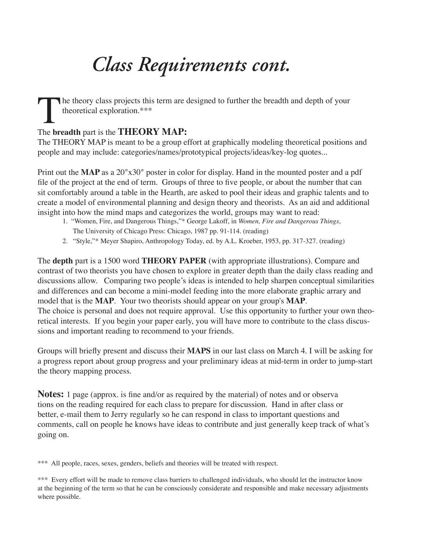## *Class Requirements cont.*

The theory class projects this term are designed to further the breadth and depth of your theoretical exploration.\*\*\*

## The **breadth** part is the **THEORY MAP:**

The THEORY MAP is meant to be a group effort at graphically modeling theoretical positions and people and may include: categories/names/prototypical projects/ideas/key-log quotes...

Print out the **MAP** as a 20"x30" poster in color for display. Hand in the mounted poster and a pdf file of the project at the end of term. Groups of three to five people, or about the number that can sit comfortably around a table in the Hearth, are asked to pool their ideas and graphic talents and to create a model of environmental planning and design theory and theorists. As an aid and additional insight into how the mind maps and categorizes the world, groups may want to read:

- 1. "Women, Fire, and Dangerous Things,"\* George Lakoff, in *Women, Fire and Dangerous Things*, The University of Chicago Press: Chicago, 1987 pp. 91-114. (reading)
- 2. "Style,"\* Meyer Shapiro, Anthropology Today, ed. by A.L. Kroeber, 1953, pp. 317-327. (reading)

The **depth** part is a 1500 word **THEORY PAPER** (with appropriate illustrations). Compare and contrast of two theorists you have chosen to explore in greater depth than the daily class reading and discussions allow. Comparing two people's ideas is intended to help sharpen conceptual similarities and differences and can become a mini-model feeding into the more elaborate graphic arrary and model that is the **MAP**. Your two theorists should appear on your group's **MAP**. The choice is personal and does not require approval. Use this opportunity to further your own theoretical interests. If you begin your paper early, you will have more to contribute to the class discussions and important reading to recommend to your friends.

Groups will briefly present and discuss their **MAPS** in our last class on March 4. I will be asking for a progress report about group progress and your preliminary ideas at mid-term in order to jump-start the theory mapping process.

**Notes:** 1 page (approx. is fine and/or as required by the material) of notes and or observa tions on the reading required for each class to prepare for discussion. Hand in after class or better, e-mail them to Jerry regularly so he can respond in class to important questions and comments, call on people he knows have ideas to contribute and just generally keep track of what's going on.

\*\*\* All people, races, sexes, genders, beliefs and theories will be treated with respect.

\*\*\* Every effort will be made to remove class barriers to challenged individuals, who should let the instructor know at the beginning of the term so that he can be consciously considerate and responsible and make necessary adjustments where possible.